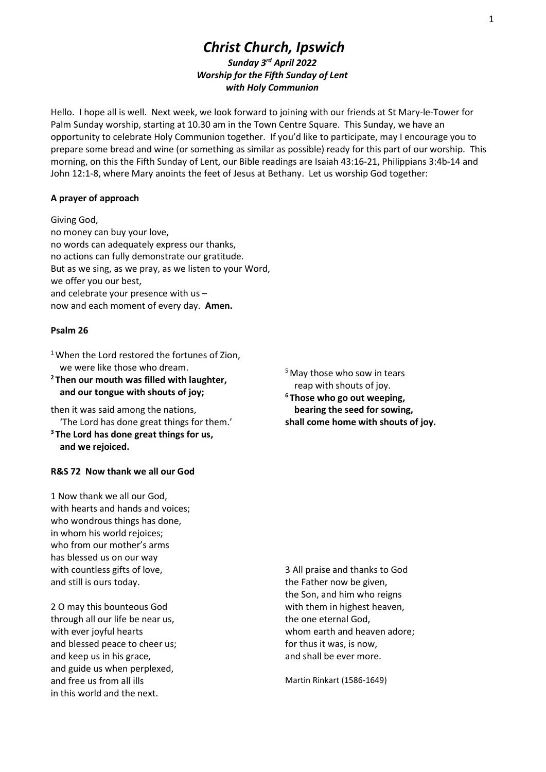# Christ Church, Ipswich Sunday 3rd April 2022 Worship for the Fifth Sunday of Lent with Holy Communion

Hello. I hope all is well. Next week, we look forward to joining with our friends at St Mary-le-Tower for Palm Sunday worship, starting at 10.30 am in the Town Centre Square. This Sunday, we have an opportunity to celebrate Holy Communion together. If you'd like to participate, may I encourage you to prepare some bread and wine (or something as similar as possible) ready for this part of our worship. This morning, on this the Fifth Sunday of Lent, our Bible readings are Isaiah 43:16-21, Philippians 3:4b-14 and John 12:1-8, where Mary anoints the feet of Jesus at Bethany. Let us worship God together:

## A prayer of approach

Giving God, no money can buy your love, no words can adequately express our thanks, no actions can fully demonstrate our gratitude. But as we sing, as we pray, as we listen to your Word, we offer you our best, and celebrate your presence with us – now and each moment of every day. Amen.

## Psalm 26

<sup>1</sup> When the Lord restored the fortunes of Zion, we were like those who dream.

<sup>2</sup> Then our mouth was filled with laughter, and our tongue with shouts of joy;

then it was said among the nations, 'The Lord has done great things for them.'

<sup>3</sup>The Lord has done great things for us, and we rejoiced.

## R&S 72 Now thank we all our God

1 Now thank we all our God, with hearts and hands and voices; who wondrous things has done, in whom his world rejoices; who from our mother's arms has blessed us on our way with countless gifts of love, and still is ours today.

2 O may this bounteous God through all our life be near us, with ever joyful hearts and blessed peace to cheer us; and keep us in his grace, and guide us when perplexed, and free us from all ills in this world and the next.

<sup>5</sup> May those who sow in tears reap with shouts of joy. <sup>6</sup>Those who go out weeping, bearing the seed for sowing, shall come home with shouts of joy.

3 All praise and thanks to God the Father now be given, the Son, and him who reigns with them in highest heaven, the one eternal God, whom earth and heaven adore; for thus it was, is now, and shall be ever more.

Martin Rinkart (1586-1649)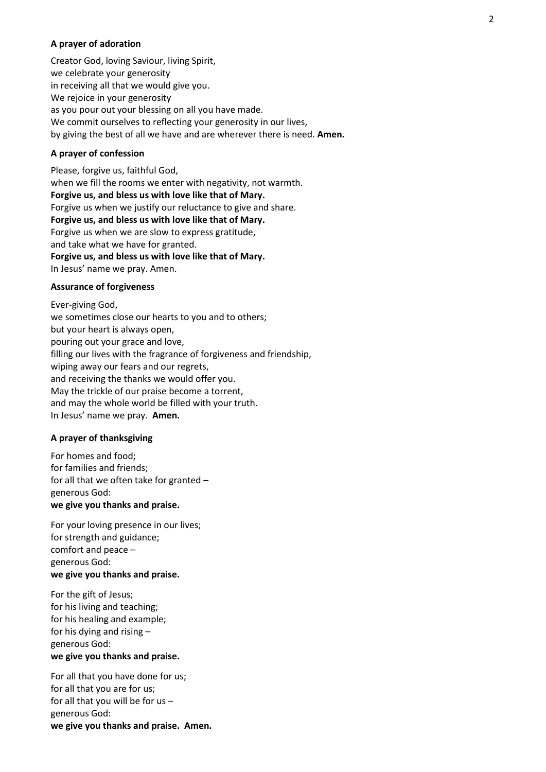#### A prayer of adoration

Creator God, loving Saviour, living Spirit, we celebrate your generosity in receiving all that we would give you. We rejoice in your generosity as you pour out your blessing on all you have made. We commit ourselves to reflecting your generosity in our lives, by giving the best of all we have and are wherever there is need. Amen.

#### A prayer of confession

Please, forgive us, faithful God, when we fill the rooms we enter with negativity, not warmth. Forgive us, and bless us with love like that of Mary. Forgive us when we justify our reluctance to give and share. Forgive us, and bless us with love like that of Mary. Forgive us when we are slow to express gratitude, and take what we have for granted. Forgive us, and bless us with love like that of Mary. In Jesus' name we pray. Amen.

#### Assurance of forgiveness

Ever-giving God, we sometimes close our hearts to you and to others; but your heart is always open, pouring out your grace and love, filling our lives with the fragrance of forgiveness and friendship, wiping away our fears and our regrets, and receiving the thanks we would offer you. May the trickle of our praise become a torrent, and may the whole world be filled with your truth. In Jesus' name we pray. Amen.

## A prayer of thanksgiving

For homes and food; for families and friends; for all that we often take for granted – generous God: we give you thanks and praise.

For your loving presence in our lives; for strength and guidance; comfort and peace – generous God: we give you thanks and praise.

For the gift of Jesus; for his living and teaching; for his healing and example; for his dying and rising – generous God: we give you thanks and praise.

For all that you have done for us;  for all that you are for us; for all that you will be for us – generous God: we give you thanks and praise. Amen.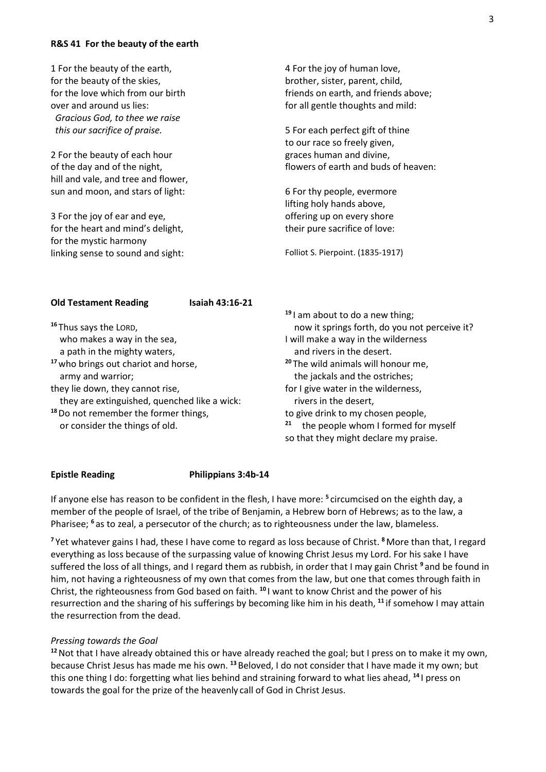#### R&S 41 For the beauty of the earth

| 1 For the beauty of the earth,<br>for the beauty of the skies,<br>for the love which from our birth<br>over and around us lies: | 4 For the joy of human love,<br>brother, sister, parent, child,<br>friends on earth, and friends above;<br>for all gentle thoughts and mild: |
|---------------------------------------------------------------------------------------------------------------------------------|----------------------------------------------------------------------------------------------------------------------------------------------|
| Gracious God, to thee we raise<br>this our sacrifice of praise.                                                                 | 5 For each perfect gift of thine                                                                                                             |
| 2 For the beauty of each hour                                                                                                   | to our race so freely given,<br>graces human and divine,                                                                                     |
| of the day and of the night,<br>hill and vale, and tree and flower,                                                             | flowers of earth and buds of heaven:                                                                                                         |
| sun and moon, and stars of light:                                                                                               | 6 For thy people, evermore<br>lifting holy hands above,                                                                                      |
| 3 For the joy of ear and eye,                                                                                                   | offering up on every shore                                                                                                                   |
| for the heart and mind's delight,<br>for the mystic harmony                                                                     | their pure sacrifice of love:                                                                                                                |
| linking sense to sound and sight:                                                                                               | Folliot S. Pierpoint. (1835-1917)                                                                                                            |

| <b>Old Testament Reading</b>                     | Isaiah 43:16-21 |                                                |
|--------------------------------------------------|-----------------|------------------------------------------------|
|                                                  |                 | $19$ am about to do a new thing;               |
| <sup>16</sup> Thus says the LORD,                |                 | now it springs forth, do you not perceive it?  |
| who makes a way in the sea,                      |                 | I will make a way in the wilderness            |
| a path in the mighty waters,                     |                 | and rivers in the desert.                      |
| <sup>17</sup> who brings out chariot and horse,  |                 | <sup>20</sup> The wild animals will honour me, |
| army and warrior;                                |                 | the jackals and the ostriches;                 |
| they lie down, they cannot rise,                 |                 | for I give water in the wilderness,            |
| they are extinguished, quenched like a wick:     |                 | rivers in the desert,                          |
| <sup>18</sup> Do not remember the former things, |                 | to give drink to my chosen people,             |
| or consider the things of old.                   |                 | 21<br>the people whom I formed for myself      |
|                                                  |                 | so that they might declare my praise.          |

#### Epistle Reading Philippians 3:4b-14

If anyone else has reason to be confident in the flesh, I have more: <sup>5</sup> circumcised on the eighth day, a member of the people of Israel, of the tribe of Benjamin, a Hebrew born of Hebrews; as to the law, a Pharisee; <sup>6</sup> as to zeal, a persecutor of the church; as to righteousness under the law, blameless.

<sup>7</sup> Yet whatever gains I had, these I have come to regard as loss because of Christ. <sup>8</sup> More than that, I regard everything as loss because of the surpassing value of knowing Christ Jesus my Lord. For his sake I have suffered the loss of all things, and I regard them as rubbish, in order that I may gain Christ<sup>9</sup> and be found in him, not having a righteousness of my own that comes from the law, but one that comes through faith in Christ, the righteousness from God based on faith. <sup>10</sup>I want to know Christ and the power of his resurrection and the sharing of his sufferings by becoming like him in his death, <sup>11</sup> if somehow I may attain the resurrection from the dead.

## Pressing towards the Goal

<sup>12</sup> Not that I have already obtained this or have already reached the goal; but I press on to make it my own, because Christ Jesus has made me his own. <sup>13</sup> Beloved, I do not consider that I have made it my own; but this one thing I do: forgetting what lies behind and straining forward to what lies ahead, <sup>14</sup>I press on towards the goal for the prize of the heavenly call of God in Christ Jesus.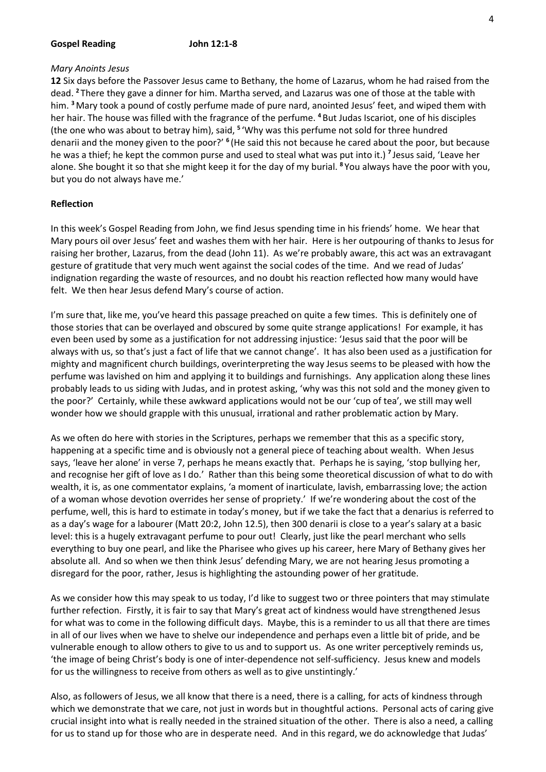#### Gospel Reading **John 12:1-8**

## Mary Anoints Jesus

12 Six days before the Passover Jesus came to Bethany, the home of Lazarus, whom he had raised from the dead. <sup>2</sup>There they gave a dinner for him. Martha served, and Lazarus was one of those at the table with him. <sup>3</sup> Mary took a pound of costly perfume made of pure nard, anointed Jesus' feet, and wiped them with her hair. The house was filled with the fragrance of the perfume. <sup>4</sup> But Judas Iscariot, one of his disciples (the one who was about to betray him), said, <sup>5</sup> 'Why was this perfume not sold for three hundred denarii and the money given to the poor?' <sup>6</sup> (He said this not because he cared about the poor, but because he was a thief; he kept the common purse and used to steal what was put into it.)<sup>7</sup> Jesus said, 'Leave her alone. She bought it so that she might keep it for the day of my burial. <sup>8</sup>You always have the poor with you, but you do not always have me.'

## Reflection

In this week's Gospel Reading from John, we find Jesus spending time in his friends' home. We hear that Mary pours oil over Jesus' feet and washes them with her hair. Here is her outpouring of thanks to Jesus for raising her brother, Lazarus, from the dead (John 11). As we're probably aware, this act was an extravagant gesture of gratitude that very much went against the social codes of the time. And we read of Judas' indignation regarding the waste of resources, and no doubt his reaction reflected how many would have felt. We then hear Jesus defend Mary's course of action.

I'm sure that, like me, you've heard this passage preached on quite a few times. This is definitely one of those stories that can be overlayed and obscured by some quite strange applications! For example, it has even been used by some as a justification for not addressing injustice: 'Jesus said that the poor will be always with us, so that's just a fact of life that we cannot change'. It has also been used as a justification for mighty and magnificent church buildings, overinterpreting the way Jesus seems to be pleased with how the perfume was lavished on him and applying it to buildings and furnishings. Any application along these lines probably leads to us siding with Judas, and in protest asking, 'why was this not sold and the money given to the poor?' Certainly, while these awkward applications would not be our 'cup of tea', we still may well wonder how we should grapple with this unusual, irrational and rather problematic action by Mary.

As we often do here with stories in the Scriptures, perhaps we remember that this as a specific story, happening at a specific time and is obviously not a general piece of teaching about wealth. When Jesus says, 'leave her alone' in verse 7, perhaps he means exactly that. Perhaps he is saying, 'stop bullying her, and recognise her gift of love as I do.' Rather than this being some theoretical discussion of what to do with wealth, it is, as one commentator explains, 'a moment of inarticulate, lavish, embarrassing love; the action of a woman whose devotion overrides her sense of propriety.' If we're wondering about the cost of the perfume, well, this is hard to estimate in today's money, but if we take the fact that a denarius is referred to as a day's wage for a labourer (Matt 20:2, John 12.5), then 300 denarii is close to a year's salary at a basic level: this is a hugely extravagant perfume to pour out! Clearly, just like the pearl merchant who sells everything to buy one pearl, and like the Pharisee who gives up his career, here Mary of Bethany gives her absolute all. And so when we then think Jesus' defending Mary, we are not hearing Jesus promoting a disregard for the poor, rather, Jesus is highlighting the astounding power of her gratitude.

As we consider how this may speak to us today, I'd like to suggest two or three pointers that may stimulate further refection. Firstly, it is fair to say that Mary's great act of kindness would have strengthened Jesus for what was to come in the following difficult days. Maybe, this is a reminder to us all that there are times in all of our lives when we have to shelve our independence and perhaps even a little bit of pride, and be vulnerable enough to allow others to give to us and to support us. As one writer perceptively reminds us, 'the image of being Christ's body is one of inter-dependence not self-sufficiency. Jesus knew and models for us the willingness to receive from others as well as to give unstintingly.'

Also, as followers of Jesus, we all know that there is a need, there is a calling, for acts of kindness through which we demonstrate that we care, not just in words but in thoughtful actions. Personal acts of caring give crucial insight into what is really needed in the strained situation of the other. There is also a need, a calling for us to stand up for those who are in desperate need. And in this regard, we do acknowledge that Judas'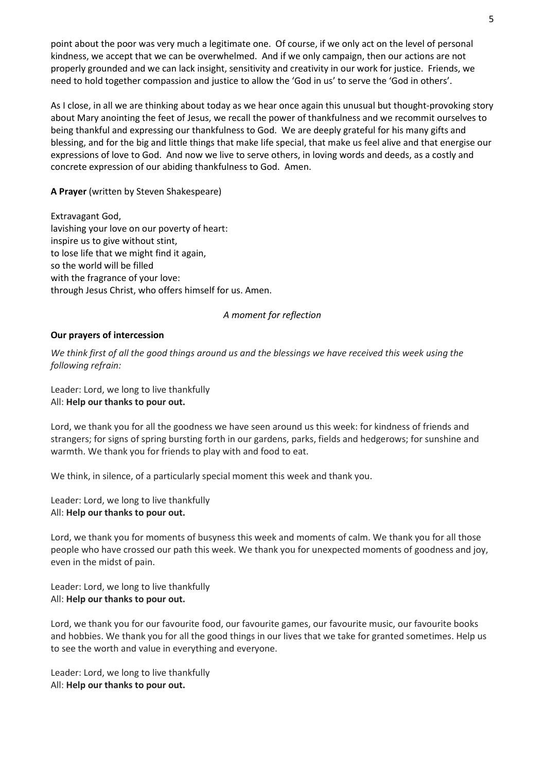point about the poor was very much a legitimate one. Of course, if we only act on the level of personal kindness, we accept that we can be overwhelmed. And if we only campaign, then our actions are not properly grounded and we can lack insight, sensitivity and creativity in our work for justice. Friends, we need to hold together compassion and justice to allow the 'God in us' to serve the 'God in others'.

As I close, in all we are thinking about today as we hear once again this unusual but thought-provoking story about Mary anointing the feet of Jesus, we recall the power of thankfulness and we recommit ourselves to being thankful and expressing our thankfulness to God. We are deeply grateful for his many gifts and blessing, and for the big and little things that make life special, that make us feel alive and that energise our expressions of love to God. And now we live to serve others, in loving words and deeds, as a costly and concrete expression of our abiding thankfulness to God. Amen.

A Prayer (written by Steven Shakespeare)

Extravagant God, lavishing your love on our poverty of heart: inspire us to give without stint, to lose life that we might find it again, so the world will be filled with the fragrance of your love: through Jesus Christ, who offers himself for us. Amen.

## A moment for reflection

## Our prayers of intercession

We think first of all the good things around us and the blessings we have received this week using the following refrain:

Leader: Lord, we long to live thankfully All: Help our thanks to pour out.

Lord, we thank you for all the goodness we have seen around us this week: for kindness of friends and strangers; for signs of spring bursting forth in our gardens, parks, fields and hedgerows; for sunshine and warmth. We thank you for friends to play with and food to eat.

We think, in silence, of a particularly special moment this week and thank you.

Leader: Lord, we long to live thankfully All: Help our thanks to pour out.

Lord, we thank you for moments of busyness this week and moments of calm. We thank you for all those people who have crossed our path this week. We thank you for unexpected moments of goodness and joy, even in the midst of pain.

Leader: Lord, we long to live thankfully All: Help our thanks to pour out.

Lord, we thank you for our favourite food, our favourite games, our favourite music, our favourite books and hobbies. We thank you for all the good things in our lives that we take for granted sometimes. Help us to see the worth and value in everything and everyone.

Leader: Lord, we long to live thankfully All: Help our thanks to pour out.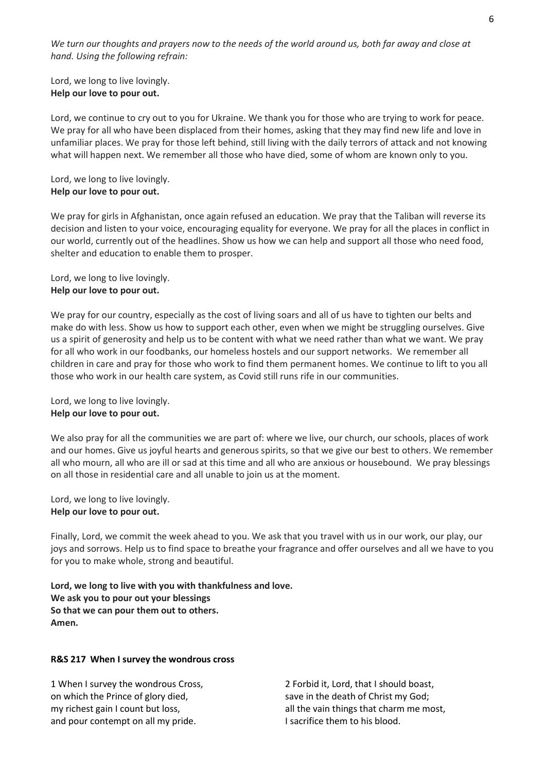We turn our thoughts and prayers now to the needs of the world around us, both far away and close at hand. Using the following refrain:

Lord, we long to live lovingly. Help our love to pour out.

Lord, we continue to cry out to you for Ukraine. We thank you for those who are trying to work for peace. We pray for all who have been displaced from their homes, asking that they may find new life and love in unfamiliar places. We pray for those left behind, still living with the daily terrors of attack and not knowing what will happen next. We remember all those who have died, some of whom are known only to you.

Lord, we long to live lovingly. Help our love to pour out.

We pray for girls in Afghanistan, once again refused an education. We pray that the Taliban will reverse its decision and listen to your voice, encouraging equality for everyone. We pray for all the places in conflict in our world, currently out of the headlines. Show us how we can help and support all those who need food, shelter and education to enable them to prosper.

Lord, we long to live lovingly. Help our love to pour out.

We pray for our country, especially as the cost of living soars and all of us have to tighten our belts and make do with less. Show us how to support each other, even when we might be struggling ourselves. Give us a spirit of generosity and help us to be content with what we need rather than what we want. We pray for all who work in our foodbanks, our homeless hostels and our support networks. We remember all children in care and pray for those who work to find them permanent homes. We continue to lift to you all those who work in our health care system, as Covid still runs rife in our communities.

Lord, we long to live lovingly. Help our love to pour out.

We also pray for all the communities we are part of: where we live, our church, our schools, places of work and our homes. Give us joyful hearts and generous spirits, so that we give our best to others. We remember all who mourn, all who are ill or sad at this time and all who are anxious or housebound. We pray blessings on all those in residential care and all unable to join us at the moment.

Lord, we long to live lovingly. Help our love to pour out.

Finally, Lord, we commit the week ahead to you. We ask that you travel with us in our work, our play, our joys and sorrows. Help us to find space to breathe your fragrance and offer ourselves and all we have to you for you to make whole, strong and beautiful.

Lord, we long to live with you with thankfulness and love. We ask you to pour out your blessings So that we can pour them out to others. Amen.

## R&S 217 When I survey the wondrous cross

1 When I survey the wondrous Cross, on which the Prince of glory died, my richest gain I count but loss, and pour contempt on all my pride.

2 Forbid it, Lord, that I should boast, save in the death of Christ my God; all the vain things that charm me most, I sacrifice them to his blood.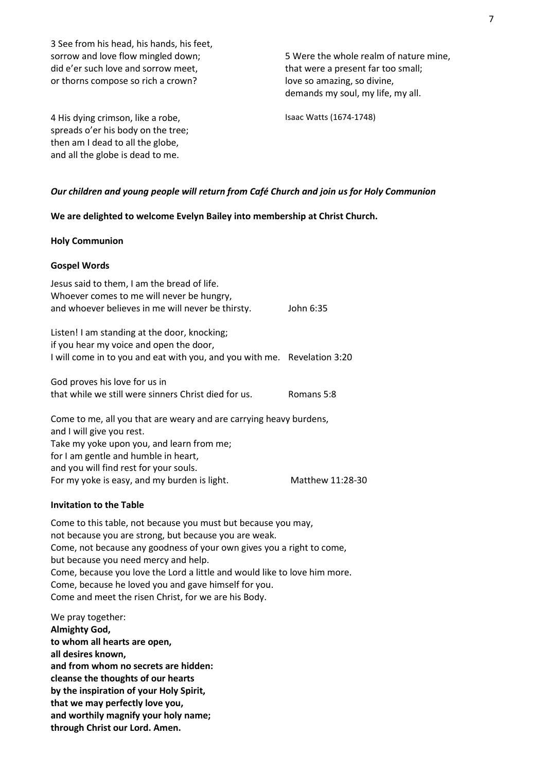3 See from his head, his hands, his feet, sorrow and love flow mingled down; did e'er such love and sorrow meet, or thorns compose so rich a crown?

5 Were the whole realm of nature mine, that were a present far too small; love so amazing, so divine, demands my soul, my life, my all.

4 His dying crimson, like a robe, spreads o'er his body on the tree; then am I dead to all the globe, and all the globe is dead to me.

Isaac Watts (1674-1748)

## Our children and young people will return from Café Church and join us for Holy Communion

We are delighted to welcome Evelyn Bailey into membership at Christ Church.

#### Holy Communion

#### Gospel Words

| Jesus said to them, I am the bread of life.<br>Whoever comes to me will never be hungry,<br>and whoever believes in me will never be thirsty.                                                                                                                                  | John 6:35        |
|--------------------------------------------------------------------------------------------------------------------------------------------------------------------------------------------------------------------------------------------------------------------------------|------------------|
| Listen! I am standing at the door, knocking;<br>if you hear my voice and open the door,<br>I will come in to you and eat with you, and you with me. Revelation 3:20                                                                                                            |                  |
| God proves his love for us in<br>that while we still were sinners Christ died for us.                                                                                                                                                                                          | Romans 5:8       |
| Come to me, all you that are weary and are carrying heavy burdens,<br>and I will give you rest.<br>Take my yoke upon you, and learn from me;<br>for I am gentle and humble in heart,<br>and you will find rest for your souls.<br>For my yoke is easy, and my burden is light. | Matthew 11:28-30 |
|                                                                                                                                                                                                                                                                                |                  |

## Invitation to the Table

Come to this table, not because you must but because you may, not because you are strong, but because you are weak. Come, not because any goodness of your own gives you a right to come, but because you need mercy and help. Come, because you love the Lord a little and would like to love him more. Come, because he loved you and gave himself for you. Come and meet the risen Christ, for we are his Body.

We pray together: Almighty God, to whom all hearts are open, all desires known, and from whom no secrets are hidden: cleanse the thoughts of our hearts by the inspiration of your Holy Spirit, that we may perfectly love you, and worthily magnify your holy name; through Christ our Lord. Amen.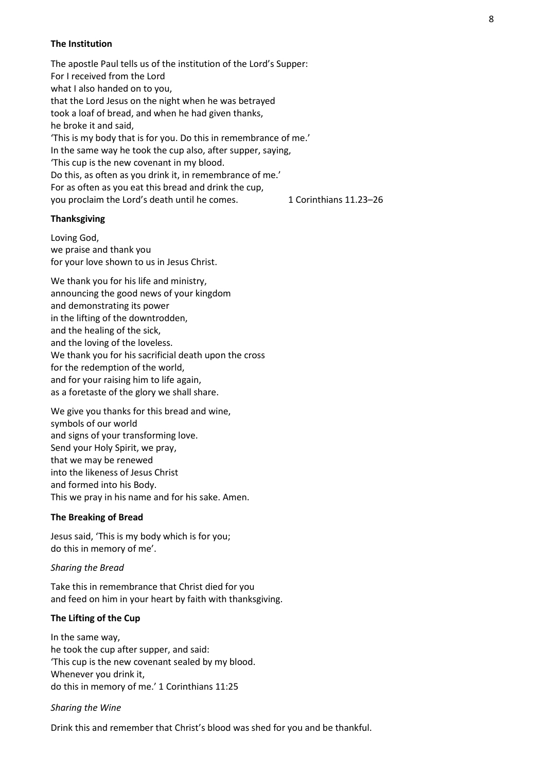## The Institution

The apostle Paul tells us of the institution of the Lord's Supper: For I received from the Lord what I also handed on to you, that the Lord Jesus on the night when he was betrayed took a loaf of bread, and when he had given thanks, he broke it and said, 'This is my body that is for you. Do this in remembrance of me.' In the same way he took the cup also, after supper, saying, 'This cup is the new covenant in my blood. Do this, as often as you drink it, in remembrance of me.' For as often as you eat this bread and drink the cup, you proclaim the Lord's death until he comes. 1 Corinthians 11.23-26

## Thanksgiving

Loving God, we praise and thank you for your love shown to us in Jesus Christ.

We thank you for his life and ministry, announcing the good news of your kingdom and demonstrating its power in the lifting of the downtrodden, and the healing of the sick, and the loving of the loveless. We thank you for his sacrificial death upon the cross for the redemption of the world, and for your raising him to life again, as a foretaste of the glory we shall share.

We give you thanks for this bread and wine, symbols of our world and signs of your transforming love. Send your Holy Spirit, we pray, that we may be renewed into the likeness of Jesus Christ and formed into his Body. This we pray in his name and for his sake. Amen.

## The Breaking of Bread

Jesus said, 'This is my body which is for you; do this in memory of me'.

## Sharing the Bread

Take this in remembrance that Christ died for you and feed on him in your heart by faith with thanksgiving.

## The Lifting of the Cup

In the same way, he took the cup after supper, and said: 'This cup is the new covenant sealed by my blood. Whenever you drink it, do this in memory of me.' 1 Corinthians 11:25

## Sharing the Wine

Drink this and remember that Christ's blood was shed for you and be thankful.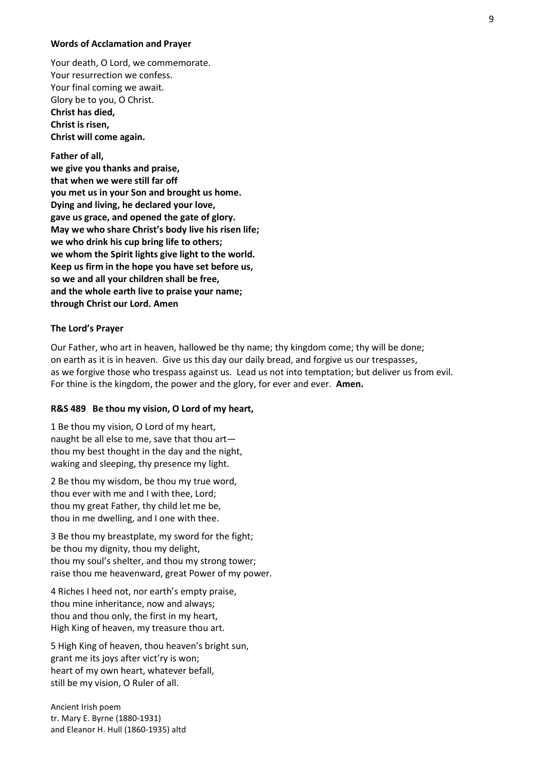#### Words of Acclamation and Prayer

Your death, O Lord, we commemorate. Your resurrection we confess. Your final coming we await. Glory be to you, O Christ. Christ has died, Christ is risen, Christ will come again.

Father of all, we give you thanks and praise, that when we were still far off you met us in your Son and brought us home. Dying and living, he declared your love, gave us grace, and opened the gate of glory. May we who share Christ's body live his risen life; we who drink his cup bring life to others; we whom the Spirit lights give light to the world. Keep us firm in the hope you have set before us, so we and all your children shall be free, and the whole earth live to praise your name; through Christ our Lord. Amen

#### The Lord's Prayer

Our Father, who art in heaven, hallowed be thy name; thy kingdom come; thy will be done; on earth as it is in heaven. Give us this day our daily bread, and forgive us our trespasses, as we forgive those who trespass against us. Lead us not into temptation; but deliver us from evil. For thine is the kingdom, the power and the glory, for ever and ever. **Amen.** 

## R&S 489 Be thou my vision, O Lord of my heart,

1 Be thou my vision, O Lord of my heart, naught be all else to me, save that thou art thou my best thought in the day and the night, waking and sleeping, thy presence my light.

2 Be thou my wisdom, be thou my true word, thou ever with me and I with thee, Lord; thou my great Father, thy child let me be, thou in me dwelling, and I one with thee.

3 Be thou my breastplate, my sword for the fight; be thou my dignity, thou my delight, thou my soul's shelter, and thou my strong tower; raise thou me heavenward, great Power of my power.

4 Riches I heed not, nor earth's empty praise, thou mine inheritance, now and always; thou and thou only, the first in my heart, High King of heaven, my treasure thou art.

5 High King of heaven, thou heaven's bright sun, grant me its joys after vict'ry is won; heart of my own heart, whatever befall, still be my vision, O Ruler of all.

Ancient Irish poem tr. Mary E. Byrne (1880-1931) and Eleanor H. Hull (1860-1935) altd